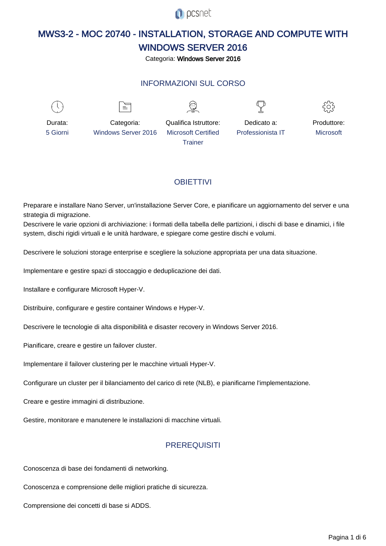

# MWS3-2 - MOC 20740 - INSTALLATION, STORAGE AND COMPUTE WITH WINDOWS SERVER 2016

Categoria: Windows Server 2016

# INFORMAZIONI SUL CORSO

 $\overline{a}$ 



Durata: 5 Giorni

Categoria: Windows Server 2016

 $\equiv$ 

Qualifica Istruttore: Microsoft Certified **Trainer** 

Dedicato a: Professionista IT



Produttore: **Microsoft** 

# **OBIFTTIVI**

Preparare e installare Nano Server, un'installazione Server Core, e pianificare un aggiornamento del server e una strategia di migrazione.

Descrivere le varie opzioni di archiviazione: i formati della tabella delle partizioni, i dischi di base e dinamici, i file system, dischi rigidi virtuali e le unità hardware, e spiegare come gestire dischi e volumi.

Descrivere le soluzioni storage enterprise e scegliere la soluzione appropriata per una data situazione.

Implementare e gestire spazi di stoccaggio e deduplicazione dei dati.

Installare e configurare Microsoft Hyper-V.

Distribuire, configurare e gestire container Windows e Hyper-V.

Descrivere le tecnologie di alta disponibilità e disaster recovery in Windows Server 2016.

Pianificare, creare e gestire un failover cluster.

Implementare il failover clustering per le macchine virtuali Hyper-V.

Configurare un cluster per il bilanciamento del carico di rete (NLB), e pianificarne l'implementazione.

Creare e gestire immagini di distribuzione.

Gestire, monitorare e manutenere le installazioni di macchine virtuali.

### **PREREQUISITI**

Conoscenza di base dei fondamenti di networking.

Conoscenza e comprensione delle migliori pratiche di sicurezza.

Comprensione dei concetti di base si ADDS.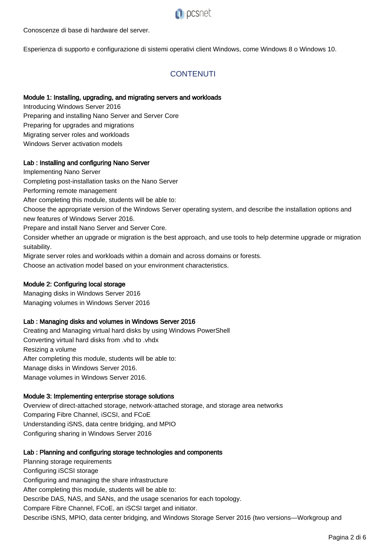

#### Conoscenze di base di hardware del server.

Esperienza di supporto e configurazione di sistemi operativi client Windows, come Windows 8 o Windows 10.

# **CONTENUTI**

#### Module 1: Installing, upgrading, and migrating servers and workloads

Introducing Windows Server 2016 Preparing and installing Nano Server and Server Core Preparing for upgrades and migrations Migrating server roles and workloads Windows Server activation models

#### Lab : Installing and configuring Nano Server

Implementing Nano Server Completing post-installation tasks on the Nano Server Performing remote management After completing this module, students will be able to: Choose the appropriate version of the Windows Server operating system, and describe the installation options and new features of Windows Server 2016. Prepare and install Nano Server and Server Core. Consider whether an upgrade or migration is the best approach, and use tools to help determine upgrade or migration suitability.

Migrate server roles and workloads within a domain and across domains or forests.

Choose an activation model based on your environment characteristics.

#### Module 2: Configuring local storage

Managing disks in Windows Server 2016 Managing volumes in Windows Server 2016

#### Lab : Managing disks and volumes in Windows Server 2016

Creating and Managing virtual hard disks by using Windows PowerShell Converting virtual hard disks from .vhd to .vhdx Resizing a volume After completing this module, students will be able to: Manage disks in Windows Server 2016. Manage volumes in Windows Server 2016.

#### Module 3: Implementing enterprise storage solutions

Overview of direct-attached storage, network-attached storage, and storage area networks Comparing Fibre Channel, iSCSI, and FCoE Understanding iSNS, data centre bridging, and MPIO Configuring sharing in Windows Server 2016

#### Lab : Planning and configuring storage technologies and components

Planning storage requirements Configuring iSCSI storage Configuring and managing the share infrastructure After completing this module, students will be able to: Describe DAS, NAS, and SANs, and the usage scenarios for each topology. Compare Fibre Channel, FCoE, an iSCSI target and initiator. Describe iSNS, MPIO, data center bridging, and Windows Storage Server 2016 (two versions—Workgroup and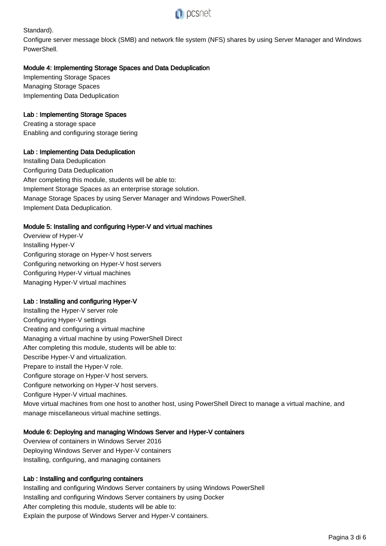

Standard).

Configure server message block (SMB) and network file system (NFS) shares by using Server Manager and Windows PowerShell.

### Module 4: Implementing Storage Spaces and Data Deduplication

Implementing Storage Spaces Managing Storage Spaces Implementing Data Deduplication

## Lab : Implementing Storage Spaces

Creating a storage space Enabling and configuring storage tiering

# Lab : Implementing Data Deduplication

Installing Data Deduplication Configuring Data Deduplication After completing this module, students will be able to: Implement Storage Spaces as an enterprise storage solution. Manage Storage Spaces by using Server Manager and Windows PowerShell. Implement Data Deduplication.

#### Module 5: Installing and configuring Hyper-V and virtual machines

Overview of Hyper-V Installing Hyper-V Configuring storage on Hyper-V host servers Configuring networking on Hyper-V host servers Configuring Hyper-V virtual machines Managing Hyper-V virtual machines

### Lab : Installing and configuring Hyper-V

Installing the Hyper-V server role Configuring Hyper-V settings Creating and configuring a virtual machine Managing a virtual machine by using PowerShell Direct After completing this module, students will be able to: Describe Hyper-V and virtualization. Prepare to install the Hyper-V role. Configure storage on Hyper-V host servers. Configure networking on Hyper-V host servers. Configure Hyper-V virtual machines. Move virtual machines from one host to another host, using PowerShell Direct to manage a virtual machine, and manage miscellaneous virtual machine settings.

### Module 6: Deploying and managing Windows Server and Hyper-V containers

Overview of containers in Windows Server 2016 Deploying Windows Server and Hyper-V containers Installing, configuring, and managing containers

#### Lab : Installing and configuring containers

Installing and configuring Windows Server containers by using Windows PowerShell Installing and configuring Windows Server containers by using Docker After completing this module, students will be able to: Explain the purpose of Windows Server and Hyper-V containers.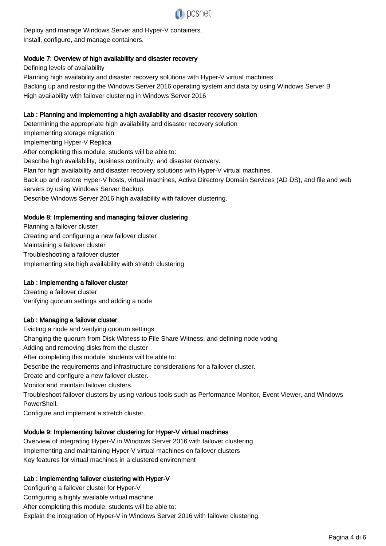

Deploy and manage Windows Server and Hyper-V containers. Install, configure, and manage containers.

#### Module 7: Overview of high availability and disaster recovery

Defining levels of availability Planning high availability and disaster recovery solutions with Hyper-V virtual machines Backing up and restoring the Windows Server 2016 operating system and data by using Windows Server B High availability with failover clustering in Windows Server 2016

#### Lab : Planning and implementing a high availability and disaster recovery solution

Determining the appropriate high availability and disaster recovery solution Implementing storage migration Implementing Hyper-V Replica After completing this module, students will be able to: Describe high availability, business continuity, and disaster recovery. Plan for high availability and disaster recovery solutions with Hyper-V virtual machines. Back up and restore Hyper-V hosts, virtual machines, Active Directory Domain Services (AD DS), and file and web servers by using Windows Server Backup. Describe Windows Server 2016 high availability with failover clustering.

#### Module 8: Implementing and managing failover clustering

Planning a failover cluster Creating and configuring a new failover cluster Maintaining a failover cluster Troubleshooting a failover cluster Implementing site high availability with stretch clustering

#### Lab : Implementing a failover cluster

Creating a failover cluster Verifying quorum settings and adding a node

#### Lab : Managing a failover cluster

Evicting a node and verifying quorum settings Changing the quorum from Disk Witness to File Share Witness, and defining node voting Adding and removing disks from the cluster After completing this module, students will be able to: Describe the requirements and infrastructure considerations for a failover cluster. Create and configure a new failover cluster. Monitor and maintain failover clusters. Troubleshoot failover clusters by using various tools such as Performance Monitor, Event Viewer, and Windows PowerShell.

Configure and implement a stretch cluster.

#### Module 9: Implementing failover clustering for Hyper-V virtual machines

Overview of integrating Hyper-V in Windows Server 2016 with failover clustering Implementing and maintaining Hyper-V virtual machines on failover clusters Key features for virtual machines in a clustered environment

#### Lab : Implementing failover clustering with Hyper-V

Configuring a failover cluster for Hyper-V Configuring a highly available virtual machine After completing this module, students will be able to: Explain the integration of Hyper-V in Windows Server 2016 with failover clustering.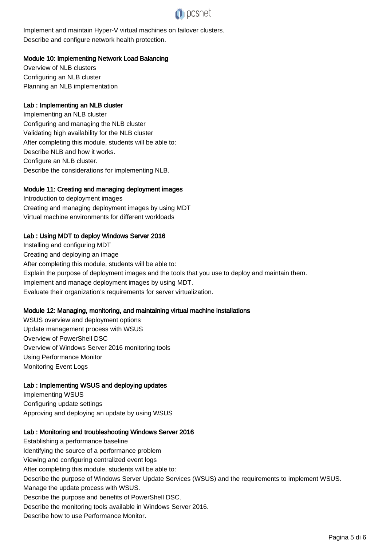

Implement and maintain Hyper-V virtual machines on failover clusters. Describe and configure network health protection.

#### Module 10: Implementing Network Load Balancing

Overview of NLB clusters Configuring an NLB cluster Planning an NLB implementation

#### Lab : Implementing an NLB cluster

Implementing an NLB cluster Configuring and managing the NLB cluster Validating high availability for the NLB cluster After completing this module, students will be able to: Describe NLB and how it works. Configure an NLB cluster. Describe the considerations for implementing NLB.

#### Module 11: Creating and managing deployment images

Introduction to deployment images Creating and managing deployment images by using MDT Virtual machine environments for different workloads

#### Lab : Using MDT to deploy Windows Server 2016

Installing and configuring MDT Creating and deploying an image After completing this module, students will be able to: Explain the purpose of deployment images and the tools that you use to deploy and maintain them. Implement and manage deployment images by using MDT. Evaluate their organization's requirements for server virtualization.

#### Module 12: Managing, monitoring, and maintaining virtual machine installations

WSUS overview and deployment options Update management process with WSUS Overview of PowerShell DSC Overview of Windows Server 2016 monitoring tools Using Performance Monitor Monitoring Event Logs

#### Lab : Implementing WSUS and deploying updates

Implementing WSUS Configuring update settings Approving and deploying an update by using WSUS

#### Lab : Monitoring and troubleshooting Windows Server 2016

Establishing a performance baseline Identifying the source of a performance problem Viewing and configuring centralized event logs After completing this module, students will be able to: Describe the purpose of Windows Server Update Services (WSUS) and the requirements to implement WSUS. Manage the update process with WSUS. Describe the purpose and benefits of PowerShell DSC. Describe the monitoring tools available in Windows Server 2016. Describe how to use Performance Monitor.